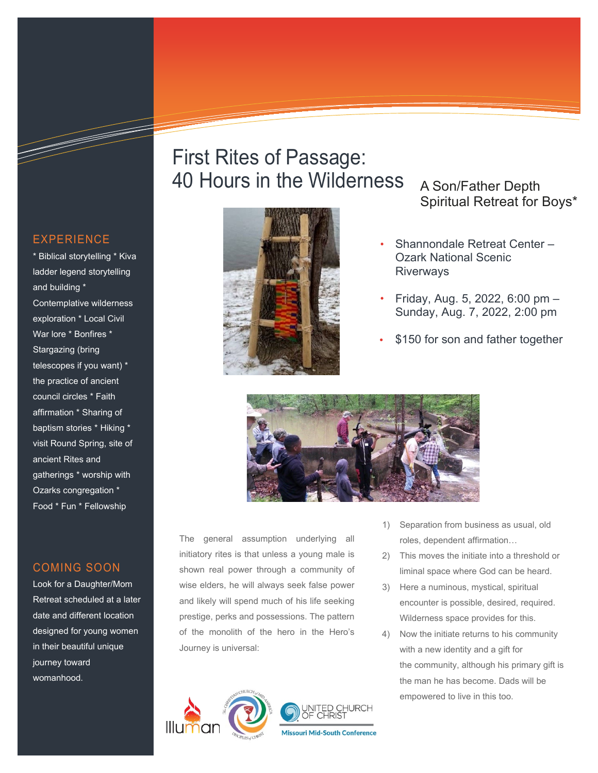## First Rites of Passage: 40 Hours in the Wilderness A Son/Father Depth



# Spiritual Retreat for Boys\*

- Shannondale Retreat Center Ozark National Scenic **Riverways**
- Friday, Aug. 5, 2022, 6:00 pm Sunday, Aug. 7, 2022, 2:00 pm
- \$150 for son and father together



The general assumption underlying all initiatory rites is that unless a young male is shown real power through a community of wise elders, he will always seek false power and likely will spend much of his life seeking prestige, perks and possessions. The pattern of the monolith of the hero in the Hero's Journey is universal:



- 1) Separation from business as usual, old roles, dependent affirmation…
- 2) This moves the initiate into a threshold or liminal space where God can be heard.
- 3) Here a numinous, mystical, spiritual encounter is possible, desired, required. Wilderness space provides for this.
- 4) Now the initiate returns to his community with a new identity and a gift for the community, although his primary gift is the man he has become. Dads will be empowered to live in this too.

#### EXPERIENCE

\* Biblical storytelling \* Kiva ladder legend storytelling and building \* Contemplative wilderness exploration \* Local Civil War lore \* Bonfires \* Stargazing (bring telescopes if you want) \* the practice of ancient council circles \* Faith affirmation \* Sharing of baptism stories \* Hiking \* visit Round Spring, site of ancient Rites and gatherings \* worship with Ozarks congregation \* Food \* Fun \* Fellowship

#### COMING SOON

Look for a Daughter/Mom Retreat scheduled at a later date and different location designed for young women in their beautiful unique journey toward womanhood.